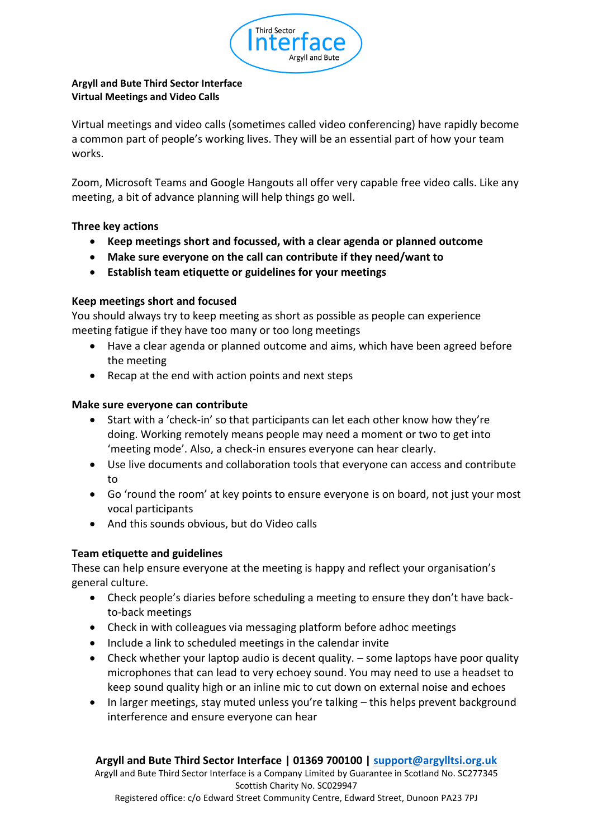

### **Argyll and Bute Third Sector Interface Virtual Meetings and Video Calls**

Virtual meetings and video calls (sometimes called video conferencing) have rapidly become a common part of people's working lives. They will be an essential part of how your team works.

Zoom, Microsoft Teams and Google Hangouts all offer very capable free video calls. Like any meeting, a bit of advance planning will help things go well.

# **Three key actions**

- **Keep meetings short and focussed, with a clear agenda or planned outcome**
- **Make sure everyone on the call can contribute if they need/want to**
- **Establish team etiquette or guidelines for your meetings**

# **Keep meetings short and focused**

You should always try to keep meeting as short as possible as people can experience meeting fatigue if they have too many or too long meetings

- Have a clear agenda or planned outcome and aims, which have been agreed before the meeting
- Recap at the end with action points and next steps

### **Make sure everyone can contribute**

- Start with a 'check-in' so that participants can let each other know how they're doing. Working remotely means people may need a moment or two to get into 'meeting mode'. Also, a check-in ensures everyone can hear clearly.
- Use live documents and collaboration tools that everyone can access and contribute to
- Go 'round the room' at key points to ensure everyone is on board, not just your most vocal participants
- And this sounds obvious, but do Video calls

# **Team etiquette and guidelines**

These can help ensure everyone at the meeting is happy and reflect your organisation's general culture.

- Check people's diaries before scheduling a meeting to ensure they don't have backto-back meetings
- Check in with colleagues via messaging platform before adhoc meetings
- Include a link to scheduled meetings in the calendar invite
- Check whether your laptop audio is decent quality. some laptops have poor quality microphones that can lead to very echoey sound. You may need to use a headset to keep sound quality high or an inline mic to cut down on external noise and echoes
- In larger meetings, stay muted unless you're talking this helps prevent background interference and ensure everyone can hear

# **Argyll and Bute Third Sector Interface | 01369 700100 | [support@argylltsi.org.uk](mailto:support@argylltsi.org.uk)**

Argyll and Bute Third Sector Interface is a Company Limited by Guarantee in Scotland No. SC277345 Scottish Charity No. SC029947

Registered office: c/o Edward Street Community Centre, Edward Street, Dunoon PA23 7PJ